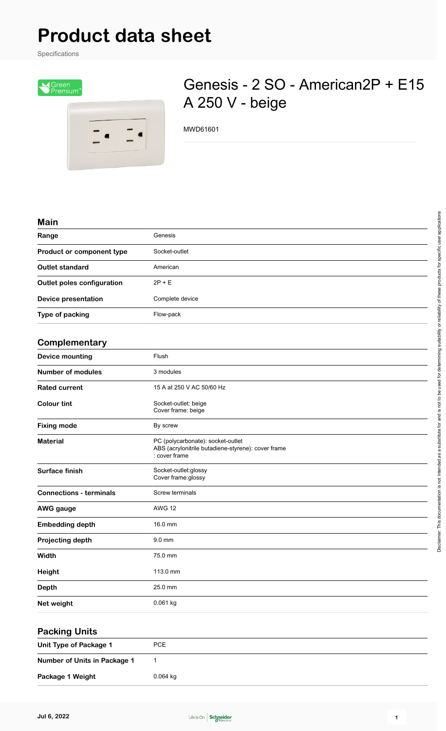## **Product data sheet**

Specifications



## Genesis - 2 SO - American2P + E15 A 250 V - beige

MWD61601

## **Main**

| Range                             | Genesis                                                                                                  |
|-----------------------------------|----------------------------------------------------------------------------------------------------------|
| Product or component type         | Socket-outlet                                                                                            |
| <b>Outlet standard</b>            | American                                                                                                 |
| <b>Outlet poles configuration</b> | $2P + E$                                                                                                 |
| <b>Device presentation</b>        | Complete device                                                                                          |
| Type of packing                   | Flow-pack                                                                                                |
| Complementary                     |                                                                                                          |
| <b>Device mounting</b>            | Flush                                                                                                    |
| <b>Number of modules</b>          | 3 modules                                                                                                |
| <b>Rated current</b>              | 15 A at 250 V AC 50/60 Hz                                                                                |
| <b>Colour tint</b>                | Socket-outlet: beige<br>Cover frame: beige                                                               |
| <b>Fixing mode</b>                | By screw                                                                                                 |
| <b>Material</b>                   | PC (polycarbonate): socket-outlet<br>ABS (acrylonitrile butadiene-styrene): cover frame<br>: cover frame |
| Surface finish                    | Socket-outlet:glossy<br>Cover frame:glossy                                                               |
| <b>Connections - terminals</b>    | Screw terminals                                                                                          |
| <b>AWG gauge</b>                  | <b>AWG 12</b>                                                                                            |
| <b>Embedding depth</b>            | 16.0 mm                                                                                                  |
| Projecting depth                  | 9.0 mm                                                                                                   |
| Width                             | 75.0 mm                                                                                                  |
| Height                            | 113.0 mm                                                                                                 |
| <b>Depth</b>                      | 25.0 mm                                                                                                  |
| Net weight                        | 0.061 kg                                                                                                 |

| <b>Packing Units</b>         |            |  |
|------------------------------|------------|--|
| Unit Type of Package 1       | PCE        |  |
| Number of Units in Package 1 |            |  |
| Package 1 Weight             | $0.064$ kg |  |